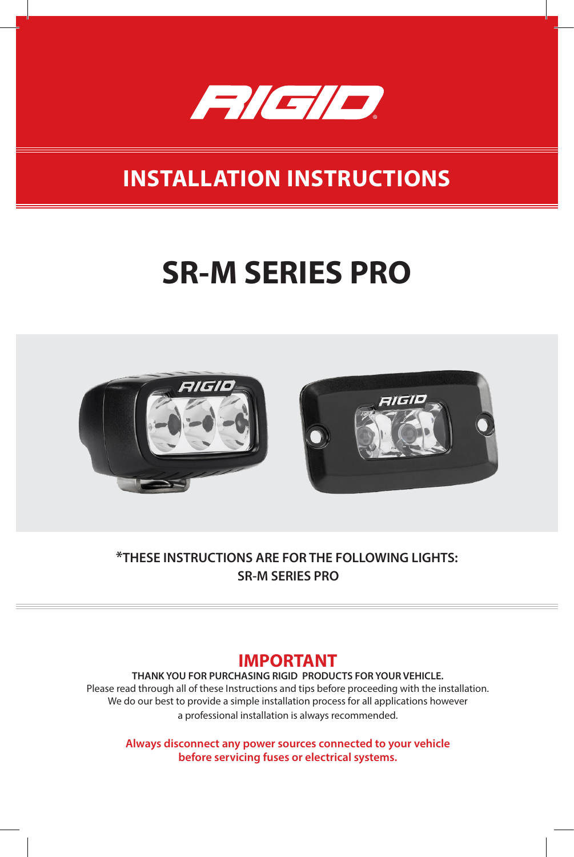

## **INSTALLATION INSTRUCTIONS**

# **SR-M SERIES PRO**



**\*THESE INSTRUCTIONS ARE FOR THE FOLLOWING LIGHTS: SR-M SERIES PRO**

#### **IMPORTANT**

**THANK YOU FOR PURCHASING RIGID PRODUCTS FOR YOUR VEHICLE.** Please read through all of these Instructions and tips before proceeding with the installation. We do our best to provide a simple installation process for all applications however a professional installation is always recommended.

**Always disconnect any power sources connected to your vehicle before servicing fuses or electrical systems.**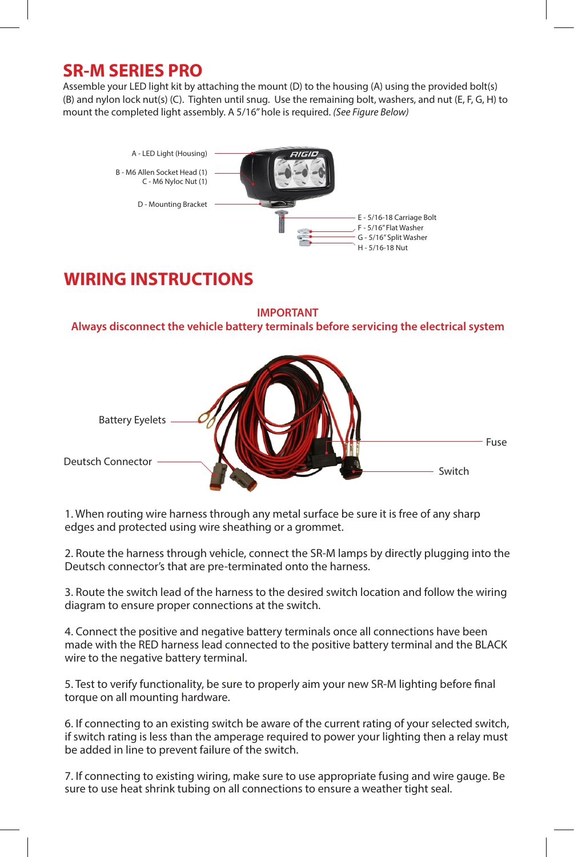#### **SR-M SERIES PRO**

Assemble your LED light kit by attaching the mount (D) to the housing (A) using the provided bolt(s) (B) and nylon lock nut(s) (C). Tighten until snug. Use the remaining bolt, washers, and nut (E, F, G, H) to mount the completed light assembly. A 5/16" hole is required. *(See Figure Below)*



#### **WIRING INSTRUCTIONS**

**IMPORTANT Always disconnect the vehicle battery terminals before servicing the electrical system**



1. When routing wire harness through any metal surface be sure it is free of any sharp edges and protected using wire sheathing or a grommet.

2. Route the harness through vehicle, connect the SR-M lamps by directly plugging into the Deutsch connector's that are pre-terminated onto the harness.

3. Route the switch lead of the harness to the desired switch location and follow the wiring diagram to ensure proper connections at the switch.

4. Connect the positive and negative battery terminals once all connections have been made with the RED harness lead connected to the positive battery terminal and the BLACK wire to the negative battery terminal.

5. Test to verify functionality, be sure to properly aim your new SR-M lighting before final torque on all mounting hardware.

6. If connecting to an existing switch be aware of the current rating of your selected switch, if switch rating is less than the amperage required to power your lighting then a relay must be added in line to prevent failure of the switch.

7. If connecting to existing wiring, make sure to use appropriate fusing and wire gauge. Be sure to use heat shrink tubing on all connections to ensure a weather tight seal.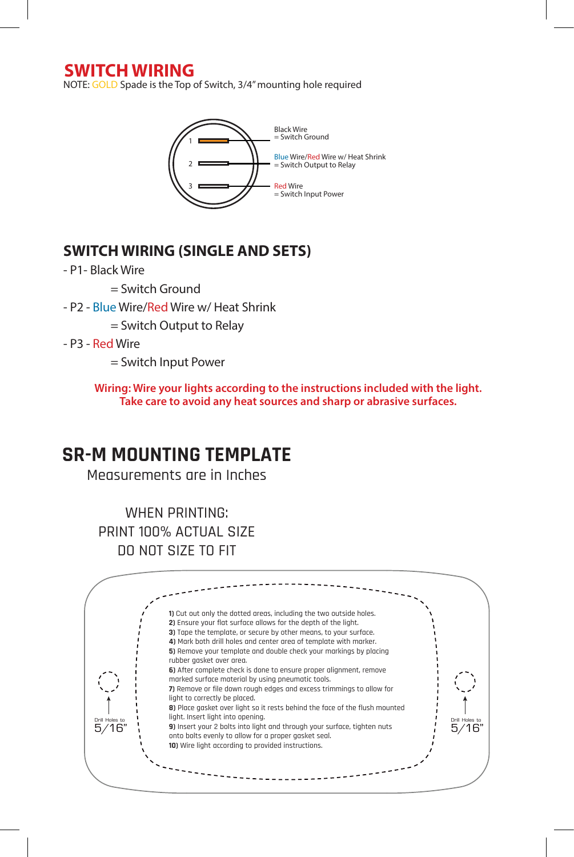#### **SWITCH WIRING**

NOTE: GOLD Spade is the Top of Switch, 3/4" mounting hole required



#### **SWITCH WIRING (SINGLE AND SETS)**

- P1- Black Wire
	- $=$  Switch Ground
- P2 Blue Wire/Red Wire w/ Heat Shrink
	- = Switch Output to Relay
- P3 Red Wire
	- = Switch Input Power

**Wiring: Wire your lights according to the instructions included with the light. Take care to avoid any heat sources and sharp or abrasive surfaces.**

### **SR-M MOUNTING TEMPLATE**

Measurements are in Inches

WHEN PRINTING: PRINT 100% ACTUAL SIZE DO NOT SIZE TO FIT